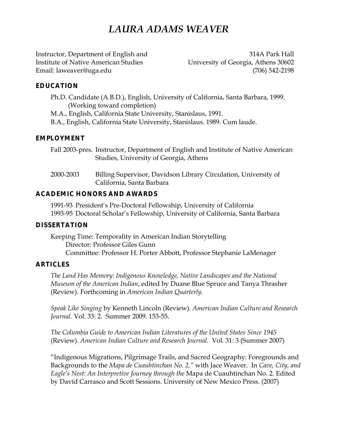# *LAURA ADAMS WEAVER*

Instructor, Department of English and 314A Park Hall Institute of Native American Studies University of Georgia, Athens 30602 Email: laweaver@uga.edu (706) 542-2198

## **EDUCATION**

- Ph.D. Candidate (A.B.D.), English, University of California, Santa Barbara, 1999. (Working toward completion)
- M.A., English, California State University, Stanislaus, 1991.
- B.A., English, California State University, Stanislaus. 1989. Cum laude.

## **EMPLOYMENT**

Fall 2003-pres. Instructor, Department of English and Institute of Native American Studies, University of Georgia, Athens

2000-2003 Billing Supervisor, Davidson Library Circulation, University of California, Santa Barbara

## **ACADEMIC HONORS AND AWARDS**

1991-93 President's Pre-Doctoral Fellowship, University of California 1993-95 Doctoral Scholar's Fellowship, University of California, Santa Barbara

#### **DISSERTATION**

Keeping Time: Temporality in American Indian Storytelling Director: Professor Giles Gunn Committee: Professor H. Porter Abbott, Professor Stephanie LaMenager

#### **ARTICLES**

*The Land Has Memory: Indigenous Knowledge, Native Landscapes and the National Museum of the American Indian*, edited by Duane Blue Spruce and Tanya Thrasher (Review). Forthcoming in *American Indian Quarterly.*

*Speak Like Singing* by Kenneth Lincoln (Review). *American Indian Culture and Research Journal.* Vol. 33: 2. Summer 2009. 153-55.

*The Columbia Guide to American Indian Literatures of the United States Since 1945* (Review). *American Indian Culture and Research Journal.* Vol. 31: 3 (Summer 2007)

"Indigenous Migrations, Pilgrimage Trails, and Sacred Geography: Foregrounds and Backgrounds to the *Mapa de Cuauhtinchan No. 2,"* with Jace Weaver. In *Cave, City, and Eagle's Nest: An Interpretive Journey through the* Mapa de Cuauhtinchan No. 2. Edited by Davíd Carrasco and Scott Sessions. University of New Mexico Press. (2007)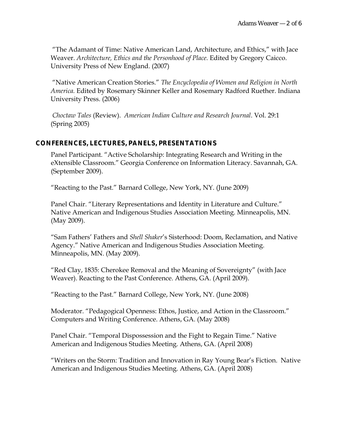"The Adamant of Time: Native American Land, Architecture, and Ethics," with Jace Weaver. *Architecture, Ethics and the Personhood of Place.* Edited by Gregory Caicco. University Press of New England. (2007)

 "Native American Creation Stories." *The Encyclopedia of Women and Religion in North America.* Edited by Rosemary Skinner Keller and Rosemary Radford Ruether. Indiana University Press. (2006)

*Choctaw Tales* (Review). *American Indian Culture and Research Journal*. Vol. 29:1 (Spring 2005)

#### **CONFERENCES, LECTURES, PANELS, PRESENTATIONS**

Panel Participant. "Active Scholarship: Integrating Research and Writing in the eXtensible Classroom." Georgia Conference on Information Literacy. Savannah, GA. (September 2009).

"Reacting to the Past." Barnard College, New York, NY. (June 2009)

Panel Chair. "Literary Representations and Identity in Literature and Culture." Native American and Indigenous Studies Association Meeting. Minneapolis, MN. (May 2009).

"Sam Fathers' Fathers and *Shell Shaker*'s Sisterhood: Doom, Reclamation, and Native Agency." Native American and Indigenous Studies Association Meeting. Minneapolis, MN. (May 2009).

"Red Clay, 1835: Cherokee Removal and the Meaning of Sovereignty" (with Jace Weaver). Reacting to the Past Conference. Athens, GA. (April 2009).

"Reacting to the Past." Barnard College, New York, NY. (June 2008)

Moderator. "Pedagogical Openness: Ethos, Justice, and Action in the Classroom." Computers and Writing Conference. Athens, GA. (May 2008)

Panel Chair. "Temporal Dispossession and the Fight to Regain Time." Native American and Indigenous Studies Meeting. Athens, GA. (April 2008)

"Writers on the Storm: Tradition and Innovation in Ray Young Bear's Fiction. Native American and Indigenous Studies Meeting. Athens, GA. (April 2008)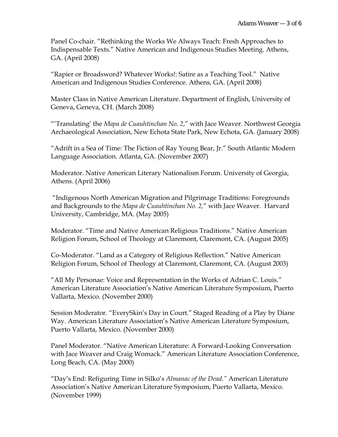Panel Co-chair. "Rethinking the Works We Always Teach: Fresh Approaches to Indispensable Texts." Native American and Indigenous Studies Meeting. Athens, GA. (April 2008)

"Rapier or Broadsword? Whatever Works!: Satire as a Teaching Tool." Native American and Indigenous Studies Conference. Athens, GA. (April 2008)

Master Class in Native American Literature. Department of English, University of Geneva, Geneva, CH. (March 2008)

"'Translating' the *Mapa de Cuauhtinchan No. 2*," with Jace Weaver. Northwest Georgia Archaeological Association, New Echota State Park, New Echota, GA. (January 2008)

"Adrift in a Sea of Time: The Fiction of Ray Young Bear, Jr." South Atlantic Modern Language Association. Atlanta, GA. (November 2007)

Moderator. Native American Literary Nationalism Forum. University of Georgia, Athens. (April 2006)

 "Indigenous North American Migration and Pilgrimage Traditions: Foregrounds and Backgrounds to the *Mapa de Cuauhtinchan No. 2,*" with Jace Weaver. Harvard University, Cambridge, MA. (May 2005)

Moderator. "Time and Native American Religious Traditions." Native American Religion Forum, School of Theology at Claremont, Claremont, CA. (August 2005)

Co-Moderator. "Land as a Category of Religious Reflection." Native American Religion Forum, School of Theology at Claremont, Claremont, CA. (August 2003)

"All My Personae: Voice and Representation in the Works of Adrian C. Louis." American Literature Association's Native American Literature Symposium, Puerto Vallarta, Mexico. (November 2000)

Session Moderator. "EverySkin's Day in Court." Staged Reading of a Play by Diane Way. American Literature Association's Native American Literature Symposium, Puerto Vallarta, Mexico. (November 2000)

Panel Moderator. "Native American Literature: A Forward-Looking Conversation with Jace Weaver and Craig Womack." American Literature Association Conference, Long Beach, CA. (May 2000)

"Day's End: Refiguring Time in Silko's *Almanac of the Dead."* American Literature Association's Native American Literature Symposium, Puerto Vallarta, Mexico. (November 1999)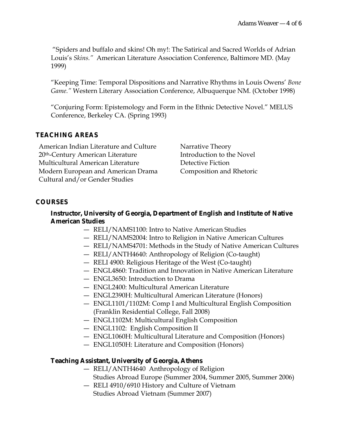"Spiders and buffalo and skins! Oh my!: The Satirical and Sacred Worlds of Adrian Louis's *Skins."* American Literature Association Conference, Baltimore MD. (May 1999)

"Keeping Time: Temporal Dispositions and Narrative Rhythms in Louis Owens' *Bone Game."* Western Literary Association Conference, Albuquerque NM. (October 1998)

"Conjuring Form: Epistemology and Form in the Ethnic Detective Novel." MELUS Conference, Berkeley CA. (Spring 1993)

# **TEACHING AREAS**

American Indian Literature and Culture Narrative Theory 20<sup>th</sup>-Century American Literature Introduction to the Novel Multicultural American Literature Detective Fiction Modern European and American Drama Composition and Rhetoric Cultural and/or Gender Studies

# **COURSES**

## **Instructor, University of Georgia, Department of English and Institute of Native American Studies**

- RELI/NAMS1100: Intro to Native American Studies
- RELI/NAMS2004: Intro to Religion in Native American Cultures
- RELI/NAMS4701: Methods in the Study of Native American Cultures
- RELI/ANTH4640: Anthropology of Religion (Co-taught)
- RELI 4900: Religious Heritage of the West (Co-taught)
- ENGL4860: Tradition and Innovation in Native American Literature
- ENGL3650: Introduction to Drama
- ENGL2400: Multicultural American Literature
- ENGL2390H: Multicultural American Literature (Honors)
- ENGL1101/1102M: Comp I and Multicultural English Composition (Franklin Residential College, Fall 2008)
- ENGL1102M: Multicultural English Composition
- ENGL1102: English Composition II
- ENGL1060H: Multicultural Literature and Composition (Honors)
- ENGL1050H: Literature and Composition (Honors)

# **Teaching Assistant, University of Georgia, Athens**

- RELI/ANTH4640 Anthropology of Religion Studies Abroad Europe (Summer 2004, Summer 2005, Summer 2006)
- RELI 4910/6910 History and Culture of Vietnam Studies Abroad Vietnam (Summer 2007)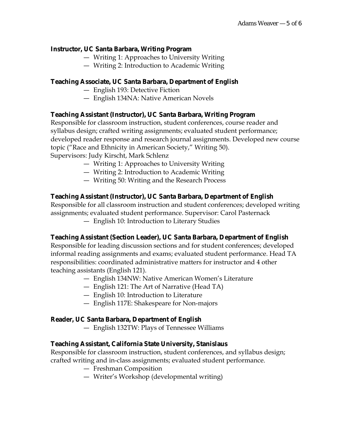## **Instructor, UC Santa Barbara, Writing Program**

- Writing 1: Approaches to University Writing
- Writing 2: Introduction to Academic Writing

## **Teaching Associate, UC Santa Barbara, Department of English**

- English 193: Detective Fiction
- English 134NA: Native American Novels

## **Teaching Assistant (Instructor), UC Santa Barbara, Writing Program**

Responsible for classroom instruction, student conferences, course reader and syllabus design; crafted writing assignments; evaluated student performance; developed reader response and research journal assignments. Developed new course topic ("Race and Ethnicity in American Society," Writing 50). Supervisors: Judy Kirscht, Mark Schlenz

- Writing 1: Approaches to University Writing
- Writing 2: Introduction to Academic Writing
- Writing 50: Writing and the Research Process

## **Teaching Assistant (Instructor), UC Santa Barbara, Department of English**

Responsible for all classroom instruction and student conferences; developed writing assignments; evaluated student performance. Supervisor: Carol Pasternack

— English 10: Introduction to Literary Studies

# **Teaching Assistant (Section Leader), UC Santa Barbara, Department of English**

Responsible for leading discussion sections and for student conferences; developed informal reading assignments and exams; evaluated student performance. Head TA responsibilities: coordinated administrative matters for instructor and 4 other teaching assistants (English 121).

- English 134NW: Native American Women's Literature
- English 121: The Art of Narrative (Head TA)
- English 10: Introduction to Literature
- English 117E: Shakespeare for Non-majors

#### **Reader, UC Santa Barbara, Department of English**

— English 132TW: Plays of Tennessee Williams

# **Teaching Assistant, California State University, Stanislaus**

Responsible for classroom instruction, student conferences, and syllabus design; crafted writing and in-class assignments; evaluated student performance.

- Freshman Composition
- Writer's Workshop (developmental writing)